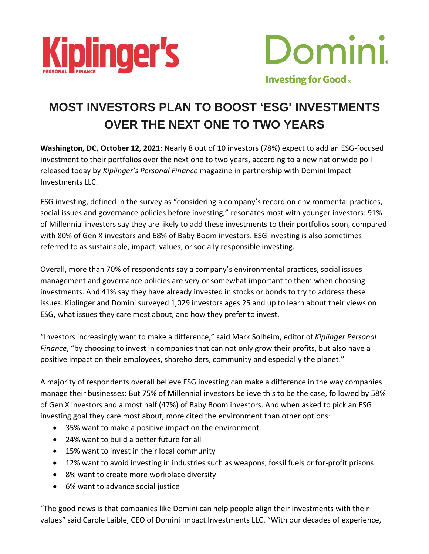



# **MOST INVESTORS PLAN TO BOOST 'ESG' INVESTMENTS OVER THE NEXT ONE TO TWO YEARS**

**Washington, DC, October 12, 2021**: Nearly 8 out of 10 investors (78%) expect to add an ESG-focused investment to their portfolios over the next one to two years, according to a new nationwide poll released today by *Kiplinger's Personal Finance* magazine in partnership with Domini Impact Investments LLC.

ESG investing, defined in the survey as "considering a company's record on environmental practices, social issues and governance policies before investing," resonates most with younger investors: 91% of Millennial investors say they are likely to add these investments to their portfolios soon, compared with 80% of Gen X investors and 68% of Baby Boom investors. ESG investing is also sometimes referred to as sustainable, impact, values, or socially responsible investing.

Overall, more than 70% of respondents say a company's environmental practices, social issues management and governance policies are very or somewhat important to them when choosing investments. And 41% say they have already invested in stocks or bonds to try to address these issues. Kiplinger and Domini surveyed 1,029 investors ages 25 and up to learn about their views on ESG, what issues they care most about, and how they prefer to invest.

"Investors increasingly want to make a difference," said Mark Solheim, editor of *Kiplinger Personal Finance*, "by choosing to invest in companies that can not only grow their profits, but also have a positive impact on their employees, shareholders, community and especially the planet."

A majority of respondents overall believe ESG investing can make a difference in the way companies manage their businesses: But 75% of Millennial investors believe this to be the case, followed by 58% of Gen X investors and almost half (47%) of Baby Boom investors. And when asked to pick an ESG investing goal they care most about, more cited the environment than other options:

- 35% want to make a positive impact on the environment
- 24% want to build a better future for all
- 15% want to invest in their local community
- 12% want to avoid investing in industries such as weapons, fossil fuels or for-profit prisons
- 8% want to create more workplace diversity
- 6% want to advance social justice

"The good news is that companies like Domini can help people align their investments with their values" said Carole Laible, CEO of Domini Impact Investments LLC. "With our decades of experience,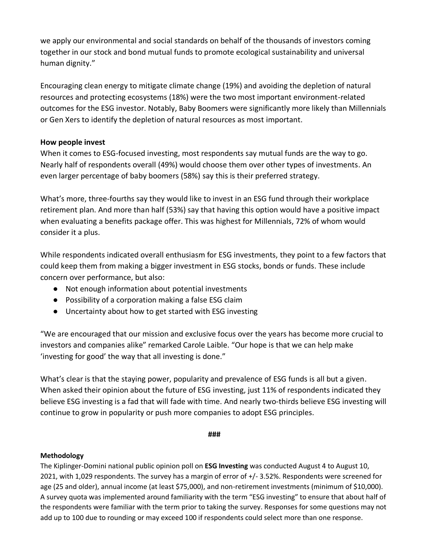we apply our environmental and social standards on behalf of the thousands of investors coming together in our stock and bond mutual funds to promote ecological sustainability and universal human dignity."

Encouraging clean energy to mitigate climate change (19%) and avoiding the depletion of natural resources and protecting ecosystems (18%) were the two most important environment-related outcomes for the ESG investor. Notably, Baby Boomers were significantly more likely than Millennials or Gen Xers to identify the depletion of natural resources as most important.

## **How people invest**

When it comes to ESG-focused investing, most respondents say mutual funds are the way to go. Nearly half of respondents overall (49%) would choose them over other types of investments. An even larger percentage of baby boomers (58%) say this is their preferred strategy.

What's more, three-fourths say they would like to invest in an ESG fund through their workplace retirement plan. And more than half (53%) say that having this option would have a positive impact when evaluating a benefits package offer. This was highest for Millennials, 72% of whom would consider it a plus.

While respondents indicated overall enthusiasm for ESG investments, they point to a few factors that could keep them from making a bigger investment in ESG stocks, bonds or funds. These include concern over performance, but also:

- Not enough information about potential investments
- Possibility of a corporation making a false ESG claim
- Uncertainty about how to get started with ESG investing

"We are encouraged that our mission and exclusive focus over the years has become more crucial to investors and companies alike" remarked Carole Laible. "Our hope is that we can help make 'investing for good' the way that all investing is done."

What's clear is that the staying power, popularity and prevalence of ESG funds is all but a given. When asked their opinion about the future of ESG investing, just 11% of respondents indicated they believe ESG investing is a fad that will fade with time. And nearly two-thirds believe ESG investing will continue to grow in popularity or push more companies to adopt ESG principles.

#### **###**

### **Methodology**

The Kiplinger-Domini national public opinion poll on **ESG Investing** was conducted August 4 to August 10, 2021, with 1,029 respondents. The survey has a margin of error of +/- 3.52%. Respondents were screened for age (25 and older), annual income (at least \$75,000), and non-retirement investments (minimum of \$10,000). A survey quota was implemented around familiarity with the term "ESG investing" to ensure that about half of the respondents were familiar with the term prior to taking the survey. Responses for some questions may not add up to 100 due to rounding or may exceed 100 if respondents could select more than one response.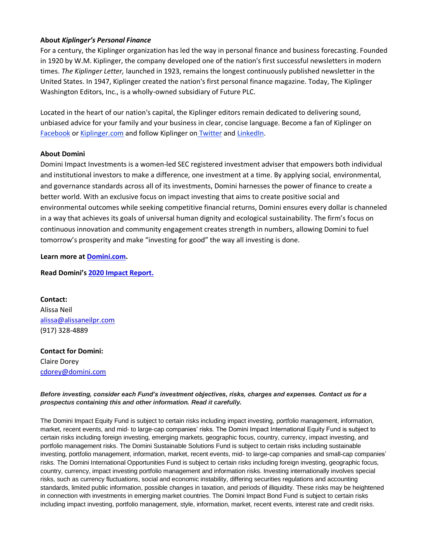#### **About** *Kiplinger's Personal Finance*

For a century, the Kiplinger organization has led the way in personal finance and business forecasting. Founded in 1920 by W.M. Kiplinger, the company developed one of the nation's first successful newsletters in modern times. *The Kiplinger Letter,* launched in 1923, remains the longest continuously published newsletter in the United States. In 1947, Kiplinger created the nation's first personal finance magazine. Today, The Kiplinger Washington Editors, Inc., is a wholly-owned subsidiary of Future PLC.

Located in the heart of our nation's capital, the Kiplinger editors remain dedicated to delivering sound, unbiased advice for your family and your business in clear, concise language. Become a fan of Kiplinger on [Facebook](https://www.facebook.com/KiplingerPersonalFinance/) or [Kiplinger.com](http://kiplinger.com/) and follow Kiplinger on [Twitter](https://twitter.com/kiplinger) an[d LinkedIn.](https://www.linkedin.com/company/kiplinger-washington-editors/?trk=top_nav_home)

#### **About Domini**

Domini Impact Investments is a women-led SEC registered investment adviser that empowers both individual and institutional investors to make a difference, one investment at a time. By applying social, environmental, and governance standards across all of its investments, Domini harnesses the power of finance to create a better world. With an exclusive focus on impact investing that aims to create positive social and environmental outcomes while seeking competitive financial returns, Domini ensures every dollar is channeled in a way that achieves its goals of universal human dignity and ecological sustainability. The firm's focus on continuous innovation and community engagement creates strength in numbers, allowing Domini to fuel tomorrow's prosperity and make "investing for good" the way all investing is done.

**Learn more at [Domini.com.](http://www.domini.com/)**

#### **Read Domini's [2020 Impact Report.](https://www.domini.com/the-domini-funds-2020-impact-report)**

**Contact:** Alissa Neil [alissa@alissaneilpr.com](mailto:alissa@alissaneilpr.com) (917) 328-4889

**Contact for Domini:** Claire Dorey [cdorey@domini.com](mailto:cdorey@domini.com)

#### *Before investing, consider each Fund's investment objectives, risks, charges and expenses. Contact us for a prospectus containing this and other information. Read it carefully.*

The Domini Impact Equity Fund is subject to certain risks including impact investing, portfolio management, information, market, recent events, and mid- to large-cap companies' risks. The Domini Impact International Equity Fund is subject to certain risks including foreign investing, emerging markets, geographic focus, country, currency, impact investing, and portfolio management risks. The Domini Sustainable Solutions Fund is subject to certain risks including sustainable investing, portfolio management, information, market, recent events, mid- to large-cap companies and small-cap companies' risks. The Domini International Opportunities Fund is subject to certain risks including foreign investing, geographic focus, country, currency, impact investing portfolio management and information risks. Investing internationally involves special risks, such as currency fluctuations, social and economic instability, differing securities regulations and accounting standards, limited public information, possible changes in taxation, and periods of illiquidity. These risks may be heightened in connection with investments in emerging market countries. The Domini Impact Bond Fund is subject to certain risks including impact investing, portfolio management, style, information, market, recent events, interest rate and credit risks.